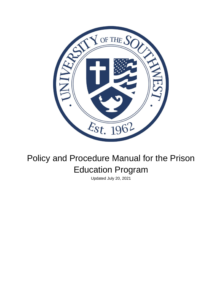

# Policy and Procedure Manual for the Prison Education Program

Updated July 20, 2021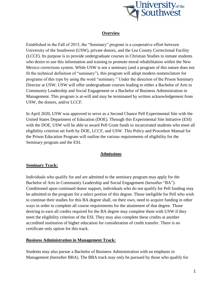

# **Overview**

Established in the Fall of 2015, the "Seminary" program is a cooperative effort between University of the Southwest (USW), private donors, and the Lea County Correctional Facility (LCCF). Its purpose is to provide undergraduate courses in Christian Studies to inmate students who desire to use this information and training to promote moral rehabilitation within the New Mexico corrections system. While USW is not a seminary (and a program of this nature does not fit the technical definition of "seminary"), this program will adopt modern nomenclature for programs of this type by using the word "seminary." Under the direction of the Prison Seminary Director at USW, USW will offer undergraduate courses leading to either a Bachelor of Arts in Community Leadership and Social Engagement or a Bachelor of Business Administration in Management. This program is at-will and may be terminated by written acknowledgement from USW, the donors, and/or LCCF.

In April 2020, USW was approved to serve as a Second Chance Pell Experimental Site with the United States Department of Education (DOE). Through this Experimental Site Initiative (ESI) with the DOE, USW will be able to award Pell Grant funds to incarcerated students who meet all eligibility criterion set forth by DOE, LCCF, and USW. This Policy and Procedure Manual for the Prison Education Program will outline the various requirements of eligibility for the Seminary program and the ESI.

# **Admissions**

#### **Seminary Track:**

Individuals who qualify for and are admitted to the seminary program may apply for the Bachelor of Arts in Community Leadership and Social Engagement (hereafter "BA"). Conditioned upon continued donor support, individuals who do not qualify for Pell funding may be admitted to the program for a select portion of this degree. Those ineligible for Pell who wish to continue their studies for this BA degree shall, on their own, need to acquire funding in other ways in order to complete all course requirements for the attainment of that degree. Those desiring to earn all credits required for the BA degree may complete them with USW if they meet the eligibility criterion of the ESI. They may also complete these credits at another accredited institution of higher education for consideration of credit transfer. There is no certificate only option for this track.

#### **Business Administration in Management Track:**

Students may also pursue a Bachelor of Business Administration with an emphasis in Management (hereafter BBA). The BBA track may only be pursued by those who qualify for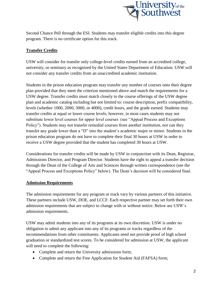

Second Chance Pell through the ESI. Students may transfer eligible credits into this degree program. There is no certificate option for this track.

# **Transfer Credits**

USW will consider for transfer only college-level credits earned from an accredited college, university, or seminary as recognized by the United States Department of Education. USW will not consider any transfer credits from an unaccredited academic institution.

Students in the prison education program may transfer any number of courses onto their degree plan provided that they meet the criterion mentioned above and match the requirements for a USW degree. Transfer credits must match closely to the course offerings of the USW degree plan and academic catalog including but not limited to: course description, prefix compatibility, levels (whether 1000, 2000, 3000, or 4000), credit hours, and the grade earned. Students may transfer credits at equal or lower course levels; however, in most cases students may not substitute lower level courses for upper level courses (see "Appeal Process and Exceptions Policy"). Students may not transfer remedial courses from another institution, nor can they transfer any grade lower than a "D" into the student's academic major or minor. Students in the prison education program do not have to complete their final 30 hours at USW in order to receive a USW degree provided that the student has completed 30 hours at USW.

Considerations for transfer credits will be made by USW in conjunction with its Dean, Registrar, Admissions Director, and Program Director. Students have the right to appeal a transfer decision through the Dean of the College of Arts and Sciences through written correspondence (see the "Appeal Process and Exceptions Policy" below). The Dean's decision will be considered final.

# **Admission Requirements**

The admission requirements for any program or track vary by various partners of this initiative. These partners include USW, DOE, and LCCF. Each respective partner may set forth their own admission requirements that are subject to change with or without notice. Below are USW's admission requirements.

USW may admit students into any of its programs at its own discretion. USW is under no obligation to admit any applicant into any of its programs or tracks regardless of the recommendations from other constituents. Applicants need not provide proof of high school graduation or standardized test scores. To be considered for admission at USW, the applicant will need to complete the following:

- Complete and return the University admissions form;
- Complete and return the Free Application for Student Aid (FAFSA) form;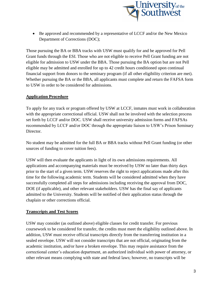

• Be approved and recommended by a representative of LCCF and/or the New Mexico Department of Corrections (DOC);

Those pursuing the BA or BBA tracks with USW must qualify for and be approved for Pell Grant funds through the ESI. Those who are not eligible to receive Pell Grant funding are not eligible for admission to USW under the BBA. Those pursuing the BA option but are not Pell eligible may be admitted and enrolled for up to 42 credit hours conditioned upon continual financial support from donors to the seminary program (if all other eligibility criterion are met). Whether pursuing the BA or the BBA, all applicants must complete and return the FAFSA form to USW in order to be considered for admissions.

# **Application Procedure**

To apply for any track or program offered by USW at LCCF, inmates must work in collaboration with the appropriate correctional official. USW shall not be involved with the selection process set forth by LCCF and/or DOC. USW shall receive university admission forms and FAFSAs recommended by LCCF and/or DOC through the appropriate liaison to USW's Prison Seminary Director.

No student may be admitted for the full BA or BBA tracks without Pell Grant funding (or other sources of funding to cover tuition fees).

USW will then evaluate the applicants in light of its own admissions requirements. All applications and accompanying materials must be received by USW no later than thirty days prior to the start of a given term. USW reserves the right to reject applications made after this time for the following academic term. Students will be considered admitted when they have successfully completed all steps for admissions including receiving the approval from DOC, DOE (if applicable), and other relevant stakeholders. USW has the final say of applicants admitted to the University. Students will be notified of their application status through the chaplain or other corrections official.

# **Transcripts and Test Scores**

USW may consider (as outlined above) eligible classes for credit transfer. For previous coursework to be considered for transfer, the credits must meet the eligibility outlined above. In addition, USW must receive official transcripts directly from the transferring institution in a sealed envelope. USW will not consider transcripts that are not official, originating from the academic institution, and/or have a broken envelope. This may require assistance from the correctional center's education department, an authorized individual with power of attorney, or other relevant means complying with state and federal laws; however, no transcripts will be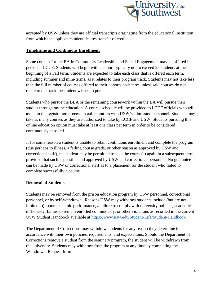

accepted by USW unless they are official transcripts originating from the educational institution from which the applicant/student desires transfer of credits.

# **Timeframe and Continuous Enrollment**

Some courses for the BA in Community Leadership and Social Engagement may be offered inperson at LCCF. Students will begin with a cohort typically not to exceed 25 students at the beginning of a Fall term. Students are expected to take each class that is offered each term, including summer and mini-terms, as it relates to their program track. Students may not take less than the full number of courses offered to their cohorts each term unless said courses do not relate to the track the student wishes to pursue.

Students who pursue the BBA or the remaining coursework within the BA will pursue their studies through online education. A course schedule will be provided to LCCF officials who will assist in the registration process in collaboration with USW's admission personnel. Students may take as many courses as they are authorized to take by LCCF and USW. Students pursuing this online education option must take at least one class per term in order to be considered continuously enrolled.

If for some reason a student is unable to retain continuous enrollment and complete the program (due perhaps to illness, a failing course grade, or other reason as approved by USW and correctional staff), the student may be permitted to take the course(s) again in a subsequent term provided that such is possible and approved by USW and correctional personnel. No guarantee can be made by USW or correctional staff as to a placement for the student who failed to complete successfully a course.

# **Removal of Students**

Students may be removed from the prison education program by USW personnel, correctional personnel, or by self-withdrawal. Reasons USW may withdraw students include (but are not limited to): poor academic performance, a failure to comply with university policies, academic dishonesty, failure to remain enrolled continuously, or other violations as recorded in the current USW Student Handbook available at [https://www.usw.edu/Student-Life/Student-Handbook.](https://www.usw.edu/Student-Life/Student-Handbook)

The Department of Corrections may withdraw students for any reason they determine in accordance with their own policies, requirements, and expectations. Should the Department of Corrections remove a student from the seminary program, the student will be withdrawn from the university. Students may withdraw from the program at any time by completing the Withdrawal Request form.